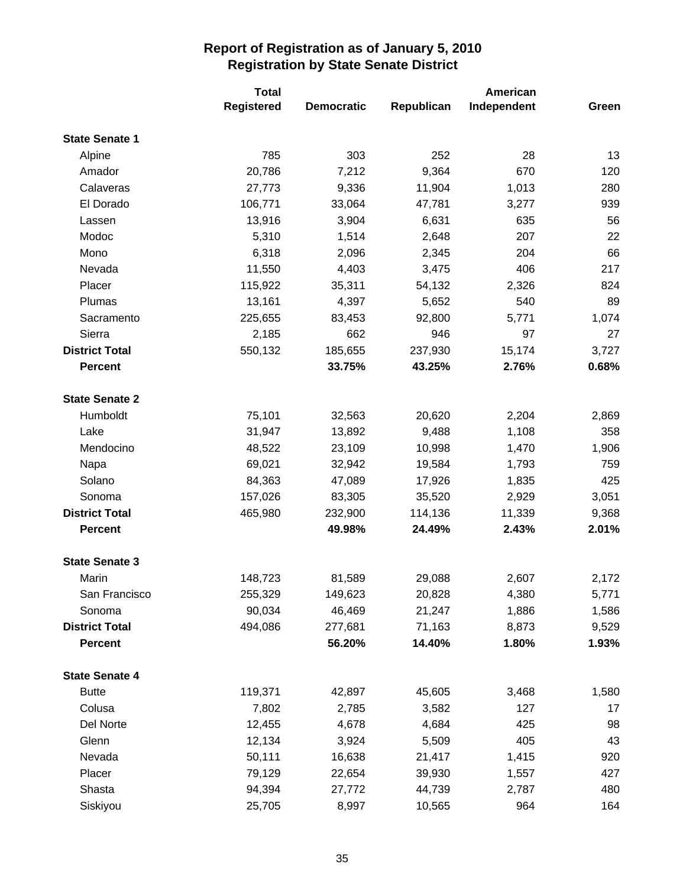|                       | <b>Total</b>      |                   |            | American    |       |  |
|-----------------------|-------------------|-------------------|------------|-------------|-------|--|
|                       | <b>Registered</b> | <b>Democratic</b> | Republican | Independent | Green |  |
| <b>State Senate 1</b> |                   |                   |            |             |       |  |
| Alpine                | 785               | 303               | 252        | 28          | 13    |  |
| Amador                | 20,786            | 7,212             | 9,364      | 670         | 120   |  |
| Calaveras             | 27,773            | 9,336             | 11,904     | 1,013       | 280   |  |
| El Dorado             | 106,771           | 33,064            | 47,781     | 3,277       | 939   |  |
| Lassen                | 13,916            | 3,904             | 6,631      | 635         | 56    |  |
| Modoc                 | 5,310             | 1,514             | 2,648      | 207         | 22    |  |
| Mono                  | 6,318             | 2,096             | 2,345      | 204         | 66    |  |
| Nevada                | 11,550            | 4,403             | 3,475      | 406         | 217   |  |
| Placer                | 115,922           | 35,311            | 54,132     | 2,326       | 824   |  |
| Plumas                | 13,161            | 4,397             | 5,652      | 540         | 89    |  |
| Sacramento            | 225,655           | 83,453            | 92,800     | 5,771       | 1,074 |  |
| Sierra                | 2,185             | 662               | 946        | 97          | 27    |  |
| <b>District Total</b> | 550,132           | 185,655           | 237,930    | 15,174      | 3,727 |  |
| <b>Percent</b>        |                   | 33.75%            | 43.25%     | 2.76%       | 0.68% |  |
| <b>State Senate 2</b> |                   |                   |            |             |       |  |
| Humboldt              | 75,101            | 32,563            | 20,620     | 2,204       | 2,869 |  |
| Lake                  | 31,947            | 13,892            | 9,488      | 1,108       | 358   |  |
| Mendocino             | 48,522            | 23,109            | 10,998     | 1,470       | 1,906 |  |
| Napa                  | 69,021            | 32,942            | 19,584     | 1,793       | 759   |  |
| Solano                | 84,363            | 47,089            | 17,926     | 1,835       | 425   |  |
| Sonoma                | 157,026           | 83,305            | 35,520     | 2,929       | 3,051 |  |
| <b>District Total</b> | 465,980           | 232,900           | 114,136    | 11,339      | 9,368 |  |
| <b>Percent</b>        |                   | 49.98%            | 24.49%     | 2.43%       | 2.01% |  |
| <b>State Senate 3</b> |                   |                   |            |             |       |  |
| Marin                 | 148,723           | 81,589            | 29,088     | 2,607       | 2,172 |  |
| San Francisco         | 255,329           | 149,623           | 20,828     | 4,380       | 5,771 |  |
| Sonoma                | 90,034            | 46,469            | 21,247     | 1,886       | 1,586 |  |
| <b>District Total</b> | 494,086           | 277,681           | 71,163     | 8,873       | 9,529 |  |
| <b>Percent</b>        |                   | 56.20%            | 14.40%     | 1.80%       | 1.93% |  |
| <b>State Senate 4</b> |                   |                   |            |             |       |  |
| <b>Butte</b>          | 119,371           | 42,897            | 45,605     | 3,468       | 1,580 |  |
| Colusa                | 7,802             | 2,785             | 3,582      | 127         | 17    |  |
| Del Norte             | 12,455            | 4,678             | 4,684      | 425         | 98    |  |
| Glenn                 | 12,134            | 3,924             | 5,509      | 405         | 43    |  |
| Nevada                | 50,111            | 16,638            | 21,417     | 1,415       | 920   |  |
| Placer                | 79,129            | 22,654            | 39,930     | 1,557       | 427   |  |
| Shasta                | 94,394            | 27,772            | 44,739     | 2,787       | 480   |  |
| Siskiyou              | 25,705            | 8,997             | 10,565     | 964         | 164   |  |
|                       |                   |                   |            |             |       |  |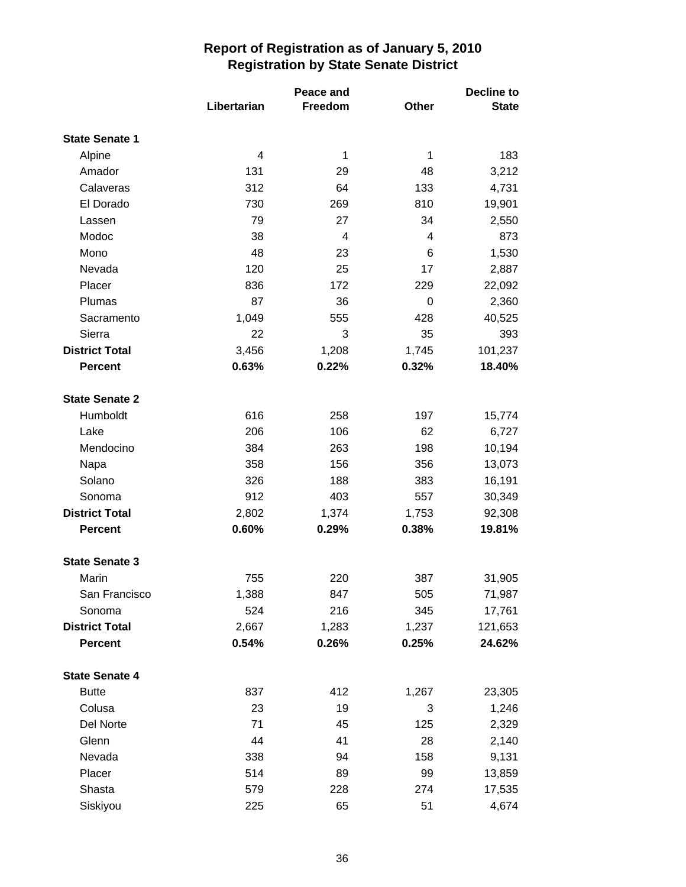|                       |             | Peace and | <b>Decline to</b> |              |  |
|-----------------------|-------------|-----------|-------------------|--------------|--|
|                       | Libertarian | Freedom   | <b>Other</b>      | <b>State</b> |  |
| <b>State Senate 1</b> |             |           |                   |              |  |
| Alpine                | 4           | 1         | 1                 | 183          |  |
| Amador                | 131         | 29        | 48                | 3,212        |  |
| Calaveras             | 312         | 64        | 133               | 4,731        |  |
| El Dorado             | 730         | 269       | 810               | 19,901       |  |
| Lassen                | 79          | 27        | 34                | 2,550        |  |
| Modoc                 | 38          | 4         | 4                 | 873          |  |
| Mono                  | 48          | 23        | 6                 | 1,530        |  |
| Nevada                | 120         | 25        | 17                | 2,887        |  |
| Placer                | 836         | 172       | 229               | 22,092       |  |
| Plumas                | 87          | 36        | 0                 | 2,360        |  |
| Sacramento            | 1,049       | 555       | 428               | 40,525       |  |
| Sierra                | 22          | 3         | 35                | 393          |  |
| <b>District Total</b> | 3,456       | 1,208     | 1,745             | 101,237      |  |
| <b>Percent</b>        | 0.63%       | 0.22%     | 0.32%             | 18.40%       |  |
| <b>State Senate 2</b> |             |           |                   |              |  |
| Humboldt              | 616         | 258       | 197               | 15,774       |  |
| Lake                  | 206         | 106       | 62                | 6,727        |  |
| Mendocino             | 384         | 263       | 198               | 10,194       |  |
| Napa                  | 358         | 156       | 356               | 13,073       |  |
| Solano                | 326         | 188       | 383               | 16,191       |  |
| Sonoma                | 912         | 403       | 557               | 30,349       |  |
| <b>District Total</b> | 2,802       | 1,374     | 1,753             | 92,308       |  |
| <b>Percent</b>        | 0.60%       | 0.29%     | 0.38%             | 19.81%       |  |
| <b>State Senate 3</b> |             |           |                   |              |  |
| Marin                 | 755         | 220       | 387               | 31,905       |  |
| San Francisco         | 1,388       | 847       | 505               | 71,987       |  |
| Sonoma                | 524         | 216       | 345               | 17,761       |  |
| <b>District Total</b> | 2,667       | 1,283     | 1,237             | 121,653      |  |
| Percent               | 0.54%       | 0.26%     | 0.25%             | 24.62%       |  |
| <b>State Senate 4</b> |             |           |                   |              |  |
| <b>Butte</b>          | 837         | 412       | 1,267             | 23,305       |  |
| Colusa                | 23          | 19        | 3                 | 1,246        |  |
| Del Norte             | 71          | 45        | 125               | 2,329        |  |
| Glenn                 | 44          | 41        | 28                | 2,140        |  |
| Nevada                | 338         | 94        | 158               | 9,131        |  |
| Placer                | 514         | 89        | 99                | 13,859       |  |
| Shasta                | 579         | 228       | 274               | 17,535       |  |
| Siskiyou              | 225         | 65        | 51                | 4,674        |  |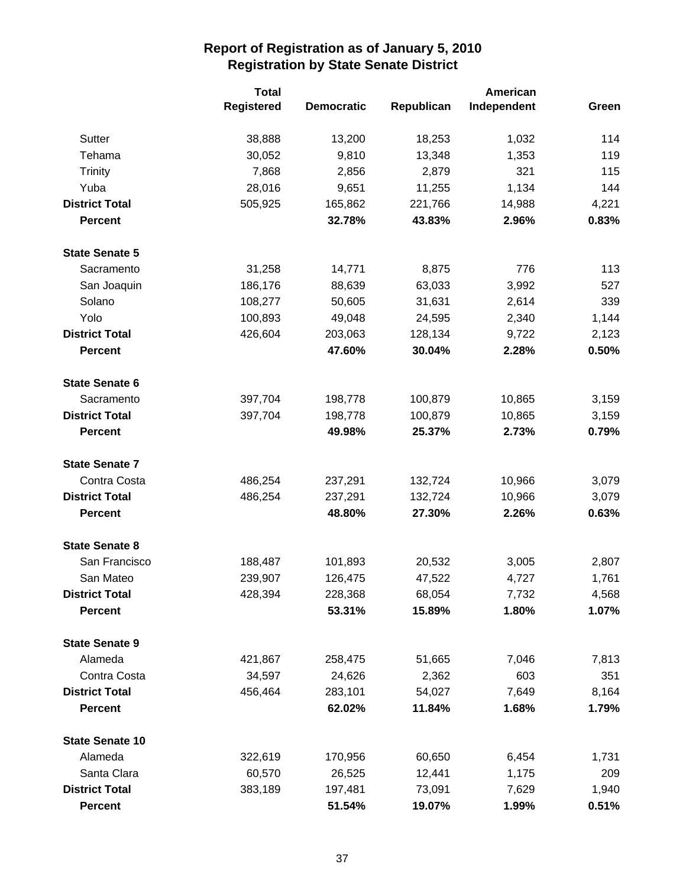|                        | <b>Total</b>      |                   |            | <b>American</b> |       |  |
|------------------------|-------------------|-------------------|------------|-----------------|-------|--|
|                        | <b>Registered</b> | <b>Democratic</b> | Republican | Independent     | Green |  |
| Sutter                 | 38,888            | 13,200            | 18,253     | 1,032           | 114   |  |
| Tehama                 | 30,052            | 9,810             | 13,348     | 1,353           | 119   |  |
| <b>Trinity</b>         | 7,868             | 2,856             | 2,879      | 321             | 115   |  |
| Yuba                   | 28,016            | 9,651             | 11,255     | 1,134           | 144   |  |
| <b>District Total</b>  | 505,925           | 165,862           | 221,766    | 14,988          | 4,221 |  |
| <b>Percent</b>         |                   | 32.78%            | 43.83%     | 2.96%           | 0.83% |  |
| <b>State Senate 5</b>  |                   |                   |            |                 |       |  |
| Sacramento             | 31,258            | 14,771            | 8,875      | 776             | 113   |  |
| San Joaquin            | 186,176           | 88,639            | 63,033     | 3,992           | 527   |  |
| Solano                 | 108,277           | 50,605            | 31,631     | 2,614           | 339   |  |
| Yolo                   | 100,893           | 49,048            | 24,595     | 2,340           | 1,144 |  |
| <b>District Total</b>  | 426,604           | 203,063           | 128,134    | 9,722           | 2,123 |  |
| <b>Percent</b>         |                   | 47.60%            | 30.04%     | 2.28%           | 0.50% |  |
| <b>State Senate 6</b>  |                   |                   |            |                 |       |  |
| Sacramento             | 397,704           | 198,778           | 100,879    | 10,865          | 3,159 |  |
| <b>District Total</b>  | 397,704           | 198,778           | 100,879    | 10,865          | 3,159 |  |
| <b>Percent</b>         |                   | 49.98%            | 25.37%     | 2.73%           | 0.79% |  |
| <b>State Senate 7</b>  |                   |                   |            |                 |       |  |
| Contra Costa           | 486,254           | 237,291           | 132,724    | 10,966          | 3,079 |  |
| <b>District Total</b>  | 486,254           | 237,291           | 132,724    | 10,966          | 3,079 |  |
| <b>Percent</b>         |                   | 48.80%            | 27.30%     | 2.26%           | 0.63% |  |
| <b>State Senate 8</b>  |                   |                   |            |                 |       |  |
| San Francisco          | 188,487           | 101,893           | 20,532     | 3,005           | 2,807 |  |
| San Mateo              | 239,907           | 126,475           | 47,522     | 4,727           | 1,761 |  |
| <b>District Total</b>  | 428,394           | 228,368           | 68,054     | 7,732           | 4,568 |  |
| <b>Percent</b>         |                   | 53.31%            | 15.89%     | 1.80%           | 1.07% |  |
| <b>State Senate 9</b>  |                   |                   |            |                 |       |  |
| Alameda                | 421,867           | 258,475           | 51,665     | 7,046           | 7,813 |  |
| Contra Costa           | 34,597            | 24,626            | 2,362      | 603             | 351   |  |
| <b>District Total</b>  | 456,464           | 283,101           | 54,027     | 7,649           | 8,164 |  |
| <b>Percent</b>         |                   | 62.02%            | 11.84%     | 1.68%           | 1.79% |  |
| <b>State Senate 10</b> |                   |                   |            |                 |       |  |
| Alameda                | 322,619           | 170,956           | 60,650     | 6,454           | 1,731 |  |
| Santa Clara            | 60,570            | 26,525            | 12,441     | 1,175           | 209   |  |
| <b>District Total</b>  | 383,189           | 197,481           | 73,091     | 7,629           | 1,940 |  |
| <b>Percent</b>         |                   | 51.54%            | 19.07%     | 1.99%           | 0.51% |  |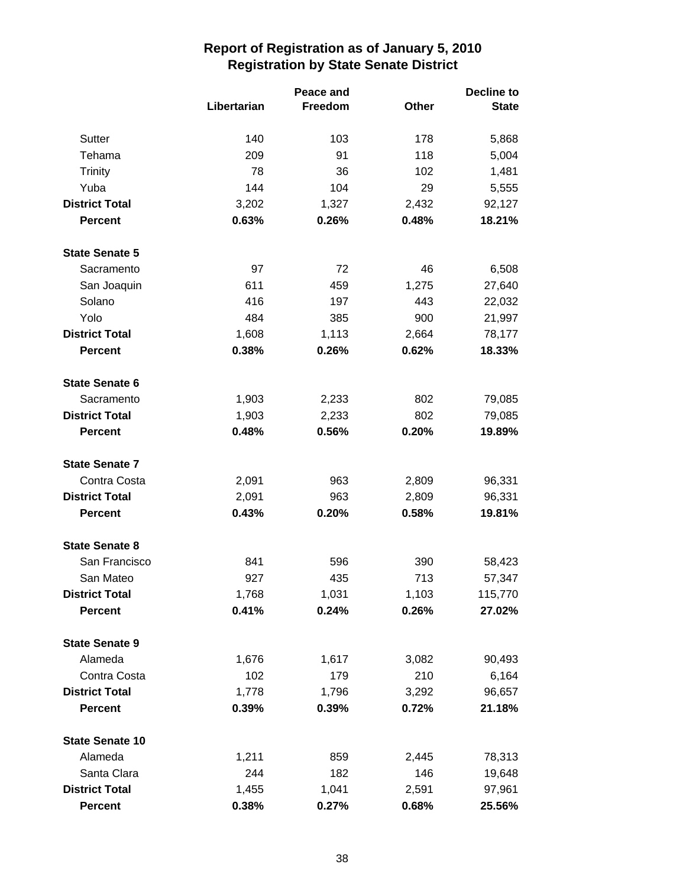|                        |             | Peace and      |       | <b>Decline to</b> |  |
|------------------------|-------------|----------------|-------|-------------------|--|
|                        | Libertarian | <b>Freedom</b> | Other | <b>State</b>      |  |
| <b>Sutter</b>          | 140         | 103            | 178   | 5,868             |  |
| Tehama                 | 209         | 91             | 118   | 5,004             |  |
| <b>Trinity</b>         | 78          | 36             | 102   | 1,481             |  |
| Yuba                   | 144         | 104            | 29    | 5,555             |  |
| <b>District Total</b>  | 3,202       | 1,327          | 2,432 | 92,127            |  |
| <b>Percent</b>         | 0.63%       | 0.26%          | 0.48% | 18.21%            |  |
| <b>State Senate 5</b>  |             |                |       |                   |  |
| Sacramento             | 97          | 72             | 46    | 6,508             |  |
| San Joaquin            | 611         | 459            | 1,275 | 27,640            |  |
| Solano                 | 416         | 197            | 443   | 22,032            |  |
| Yolo                   | 484         | 385            | 900   | 21,997            |  |
| <b>District Total</b>  | 1,608       | 1,113          | 2,664 | 78,177            |  |
| <b>Percent</b>         | 0.38%       | 0.26%          | 0.62% | 18.33%            |  |
| <b>State Senate 6</b>  |             |                |       |                   |  |
| Sacramento             | 1,903       | 2,233          | 802   | 79,085            |  |
| <b>District Total</b>  | 1,903       | 2,233          | 802   | 79,085            |  |
| <b>Percent</b>         | 0.48%       | 0.56%          | 0.20% | 19.89%            |  |
| <b>State Senate 7</b>  |             |                |       |                   |  |
| Contra Costa           | 2,091       | 963            | 2,809 | 96,331            |  |
| <b>District Total</b>  | 2,091       | 963            | 2,809 | 96,331            |  |
| <b>Percent</b>         | 0.43%       | 0.20%          | 0.58% | 19.81%            |  |
| <b>State Senate 8</b>  |             |                |       |                   |  |
| San Francisco          | 841         | 596            | 390   | 58,423            |  |
| San Mateo              | 927         | 435            | 713   | 57,347            |  |
| <b>District Total</b>  | 1,768       | 1,031          | 1,103 | 115,770           |  |
| <b>Percent</b>         | 0.41%       | 0.24%          | 0.26% | 27.02%            |  |
| <b>State Senate 9</b>  |             |                |       |                   |  |
| Alameda                | 1,676       | 1,617          | 3,082 | 90,493            |  |
| Contra Costa           | 102         | 179            | 210   | 6,164             |  |
| <b>District Total</b>  | 1,778       | 1,796          | 3,292 | 96,657            |  |
| <b>Percent</b>         | 0.39%       | 0.39%          | 0.72% | 21.18%            |  |
| <b>State Senate 10</b> |             |                |       |                   |  |
| Alameda                | 1,211       | 859            | 2,445 | 78,313            |  |
| Santa Clara            | 244         | 182            | 146   | 19,648            |  |
| <b>District Total</b>  | 1,455       | 1,041          | 2,591 | 97,961            |  |
| <b>Percent</b>         | 0.38%       | 0.27%          | 0.68% | 25.56%            |  |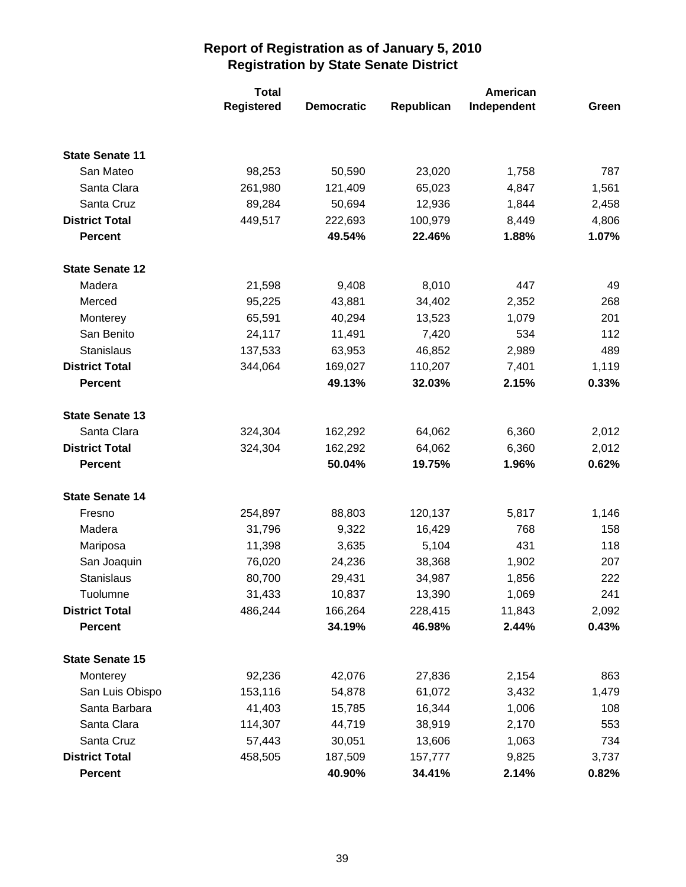|                        | <b>Total</b> |                   |            | American    |       |
|------------------------|--------------|-------------------|------------|-------------|-------|
|                        | Registered   | <b>Democratic</b> | Republican | Independent | Green |
|                        |              |                   |            |             |       |
| <b>State Senate 11</b> |              |                   |            |             |       |
| San Mateo              | 98,253       | 50,590            | 23,020     | 1,758       | 787   |
| Santa Clara            | 261,980      | 121,409           | 65,023     | 4,847       | 1,561 |
| Santa Cruz             | 89,284       | 50,694            | 12,936     | 1,844       | 2,458 |
| <b>District Total</b>  | 449,517      | 222,693           | 100,979    | 8,449       | 4,806 |
| <b>Percent</b>         |              | 49.54%            | 22.46%     | 1.88%       | 1.07% |
| <b>State Senate 12</b> |              |                   |            |             |       |
| Madera                 | 21,598       | 9,408             | 8,010      | 447         | 49    |
| Merced                 | 95,225       | 43,881            | 34,402     | 2,352       | 268   |
| Monterey               | 65,591       | 40,294            | 13,523     | 1,079       | 201   |
| San Benito             | 24,117       | 11,491            | 7,420      | 534         | 112   |
| Stanislaus             | 137,533      | 63,953            | 46,852     | 2,989       | 489   |
| <b>District Total</b>  | 344,064      | 169,027           | 110,207    | 7,401       | 1,119 |
| <b>Percent</b>         |              | 49.13%            | 32.03%     | 2.15%       | 0.33% |
| <b>State Senate 13</b> |              |                   |            |             |       |
| Santa Clara            | 324,304      | 162,292           | 64,062     | 6,360       | 2,012 |
| <b>District Total</b>  | 324,304      | 162,292           | 64,062     | 6,360       | 2,012 |
| <b>Percent</b>         |              | 50.04%            | 19.75%     | 1.96%       | 0.62% |
| <b>State Senate 14</b> |              |                   |            |             |       |
| Fresno                 | 254,897      | 88,803            | 120,137    | 5,817       | 1,146 |
| Madera                 | 31,796       | 9,322             | 16,429     | 768         | 158   |
| Mariposa               | 11,398       | 3,635             | 5,104      | 431         | 118   |
| San Joaquin            | 76,020       | 24,236            | 38,368     | 1,902       | 207   |
| <b>Stanislaus</b>      | 80,700       | 29,431            | 34,987     | 1,856       | 222   |
| Tuolumne               | 31,433       | 10,837            | 13,390     | 1,069       | 241   |
| <b>District Total</b>  | 486,244      | 166,264           | 228,415    | 11,843      | 2,092 |
| <b>Percent</b>         |              | 34.19%            | 46.98%     | 2.44%       | 0.43% |
| <b>State Senate 15</b> |              |                   |            |             |       |
| Monterey               | 92,236       | 42,076            | 27,836     | 2,154       | 863   |
| San Luis Obispo        | 153,116      | 54,878            | 61,072     | 3,432       | 1,479 |
| Santa Barbara          | 41,403       | 15,785            | 16,344     | 1,006       | 108   |
| Santa Clara            | 114,307      | 44,719            | 38,919     | 2,170       | 553   |
| Santa Cruz             | 57,443       | 30,051            | 13,606     | 1,063       | 734   |
| <b>District Total</b>  | 458,505      | 187,509           | 157,777    | 9,825       | 3,737 |
| <b>Percent</b>         |              | 40.90%            | 34.41%     | 2.14%       | 0.82% |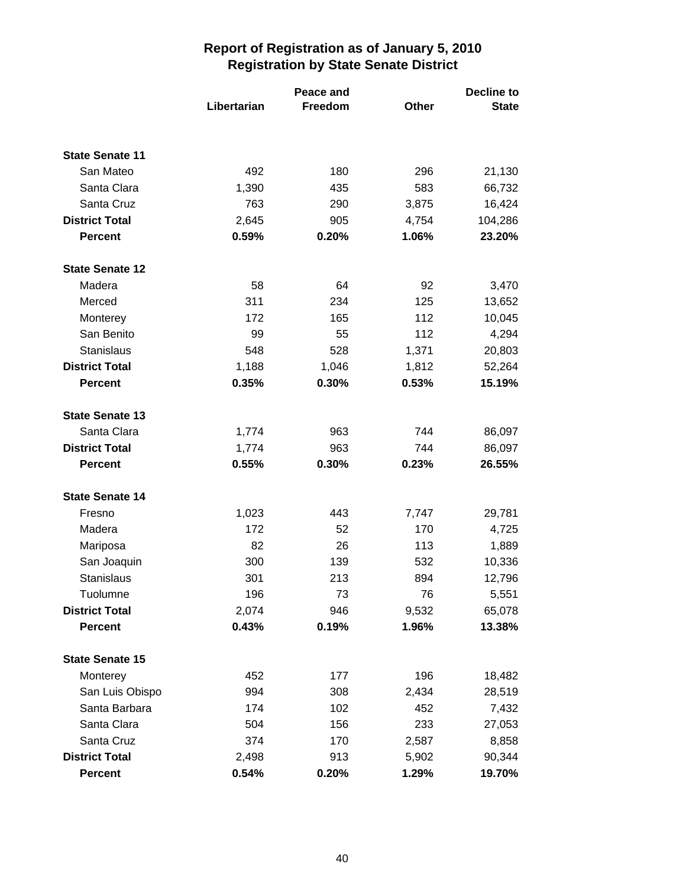|                        |             | Peace and | <b>Decline to</b> |              |  |
|------------------------|-------------|-----------|-------------------|--------------|--|
|                        | Libertarian | Freedom   | <b>Other</b>      | <b>State</b> |  |
|                        |             |           |                   |              |  |
| <b>State Senate 11</b> |             |           |                   |              |  |
| San Mateo              | 492         | 180       | 296               | 21,130       |  |
| Santa Clara            | 1,390       | 435       | 583               | 66,732       |  |
| Santa Cruz             | 763         | 290       | 3,875             | 16,424       |  |
| <b>District Total</b>  | 2,645       | 905       | 4,754             | 104,286      |  |
| <b>Percent</b>         | 0.59%       | 0.20%     | 1.06%             | 23.20%       |  |
| <b>State Senate 12</b> |             |           |                   |              |  |
| Madera                 | 58          | 64        | 92                | 3,470        |  |
| Merced                 | 311         | 234       | 125               | 13,652       |  |
| Monterey               | 172         | 165       | 112               | 10,045       |  |
| San Benito             | 99          | 55        | 112               | 4,294        |  |
| <b>Stanislaus</b>      | 548         | 528       | 1,371             | 20,803       |  |
| <b>District Total</b>  | 1,188       | 1,046     | 1,812             | 52,264       |  |
| <b>Percent</b>         | 0.35%       | 0.30%     | 0.53%             | 15.19%       |  |
| <b>State Senate 13</b> |             |           |                   |              |  |
| Santa Clara            | 1,774       | 963       | 744               | 86,097       |  |
| <b>District Total</b>  | 1,774       | 963       | 744               | 86,097       |  |
| <b>Percent</b>         | 0.55%       | 0.30%     | 0.23%             | 26.55%       |  |
| <b>State Senate 14</b> |             |           |                   |              |  |
| Fresno                 | 1,023       | 443       | 7,747             | 29,781       |  |
| Madera                 | 172         | 52        | 170               | 4,725        |  |
| Mariposa               | 82          | 26        | 113               | 1,889        |  |
| San Joaquin            | 300         | 139       | 532               | 10,336       |  |
| Stanislaus             | 301         | 213       | 894               | 12,796       |  |
| Tuolumne               | 196         | 73        | 76                | 5,551        |  |
| <b>District Total</b>  | 2,074       | 946       | 9,532             | 65,078       |  |
| <b>Percent</b>         | 0.43%       | 0.19%     | 1.96%             | 13.38%       |  |
| <b>State Senate 15</b> |             |           |                   |              |  |
| Monterey               | 452         | 177       | 196               | 18,482       |  |
| San Luis Obispo        | 994         | 308       | 2,434             | 28,519       |  |
| Santa Barbara          | 174         | 102       | 452               | 7,432        |  |
| Santa Clara            | 504         | 156       | 233               | 27,053       |  |
| Santa Cruz             | 374         | 170       | 2,587             | 8,858        |  |
| <b>District Total</b>  | 2,498       | 913       | 5,902             | 90,344       |  |
| <b>Percent</b>         | 0.54%       | 0.20%     | 1.29%             | 19.70%       |  |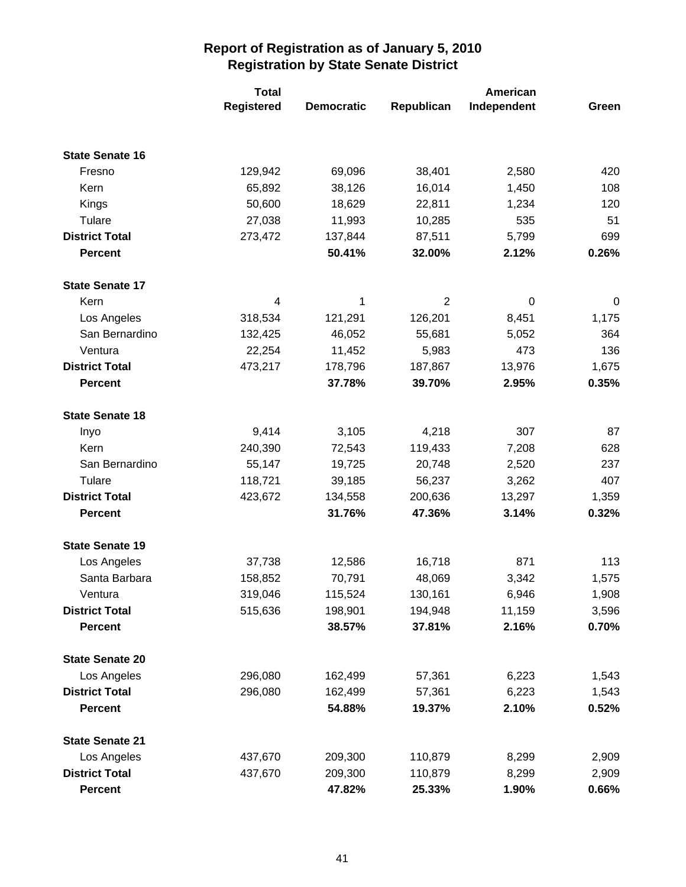|                        | <b>Total</b> |                   |                | American    |       |
|------------------------|--------------|-------------------|----------------|-------------|-------|
|                        | Registered   | <b>Democratic</b> | Republican     | Independent | Green |
|                        |              |                   |                |             |       |
| <b>State Senate 16</b> |              |                   |                |             |       |
| Fresno                 | 129,942      | 69,096            | 38,401         | 2,580       | 420   |
| Kern                   | 65,892       | 38,126            | 16,014         | 1,450       | 108   |
| Kings                  | 50,600       | 18,629            | 22,811         | 1,234       | 120   |
| Tulare                 | 27,038       | 11,993            | 10,285         | 535         | 51    |
| <b>District Total</b>  | 273,472      | 137,844           | 87,511         | 5,799       | 699   |
| <b>Percent</b>         |              | 50.41%            | 32.00%         | 2.12%       | 0.26% |
| <b>State Senate 17</b> |              |                   |                |             |       |
| Kern                   | 4            | 1                 | $\overline{2}$ | $\mathbf 0$ | 0     |
| Los Angeles            | 318,534      | 121,291           | 126,201        | 8,451       | 1,175 |
| San Bernardino         | 132,425      | 46,052            | 55,681         | 5,052       | 364   |
| Ventura                | 22,254       | 11,452            | 5,983          | 473         | 136   |
| <b>District Total</b>  | 473,217      | 178,796           | 187,867        | 13,976      | 1,675 |
| <b>Percent</b>         |              | 37.78%            | 39.70%         | 2.95%       | 0.35% |
| <b>State Senate 18</b> |              |                   |                |             |       |
| Inyo                   | 9,414        | 3,105             | 4,218          | 307         | 87    |
| Kern                   | 240,390      | 72,543            | 119,433        | 7,208       | 628   |
| San Bernardino         | 55,147       | 19,725            | 20,748         | 2,520       | 237   |
| Tulare                 | 118,721      | 39,185            | 56,237         | 3,262       | 407   |
| <b>District Total</b>  | 423,672      | 134,558           | 200,636        | 13,297      | 1,359 |
| <b>Percent</b>         |              | 31.76%            | 47.36%         | 3.14%       | 0.32% |
| <b>State Senate 19</b> |              |                   |                |             |       |
| Los Angeles            | 37,738       | 12,586            | 16,718         | 871         | 113   |
| Santa Barbara          | 158,852      | 70,791            | 48,069         | 3,342       | 1,575 |
| Ventura                | 319,046      | 115,524           | 130,161        | 6,946       | 1,908 |
| <b>District Total</b>  | 515,636      | 198,901           | 194,948        | 11,159      | 3,596 |
| <b>Percent</b>         |              | 38.57%            | 37.81%         | 2.16%       | 0.70% |
| <b>State Senate 20</b> |              |                   |                |             |       |
| Los Angeles            | 296,080      | 162,499           | 57,361         | 6,223       | 1,543 |
| <b>District Total</b>  | 296,080      | 162,499           | 57,361         | 6,223       | 1,543 |
| <b>Percent</b>         |              | 54.88%            | 19.37%         | 2.10%       | 0.52% |
| <b>State Senate 21</b> |              |                   |                |             |       |
| Los Angeles            | 437,670      | 209,300           | 110,879        | 8,299       | 2,909 |
| <b>District Total</b>  | 437,670      | 209,300           | 110,879        | 8,299       | 2,909 |
| <b>Percent</b>         |              | 47.82%            | 25.33%         | 1.90%       | 0.66% |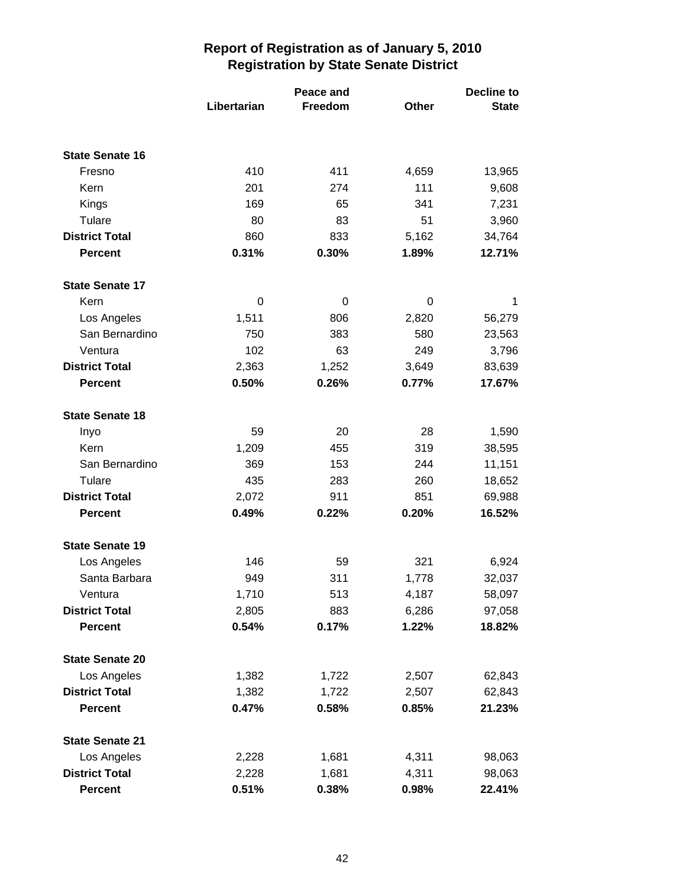|                        |             | Peace and      |       | <b>Decline to</b> |  |
|------------------------|-------------|----------------|-------|-------------------|--|
|                        | Libertarian | <b>Freedom</b> | Other | <b>State</b>      |  |
|                        |             |                |       |                   |  |
| <b>State Senate 16</b> |             |                |       |                   |  |
| Fresno                 | 410         | 411            | 4,659 | 13,965            |  |
| Kern                   | 201         | 274            | 111   | 9,608             |  |
| Kings                  | 169         | 65             | 341   | 7,231             |  |
| Tulare                 | 80          | 83             | 51    | 3,960             |  |
| <b>District Total</b>  | 860         | 833            | 5,162 | 34,764            |  |
| <b>Percent</b>         | 0.31%       | 0.30%          | 1.89% | 12.71%            |  |
| <b>State Senate 17</b> |             |                |       |                   |  |
| Kern                   | 0           | 0              | 0     | 1                 |  |
| Los Angeles            | 1,511       | 806            | 2,820 | 56,279            |  |
| San Bernardino         | 750         | 383            | 580   | 23,563            |  |
| Ventura                | 102         | 63             | 249   | 3,796             |  |
| <b>District Total</b>  | 2,363       | 1,252          | 3,649 | 83,639            |  |
| <b>Percent</b>         | 0.50%       | 0.26%          | 0.77% | 17.67%            |  |
| <b>State Senate 18</b> |             |                |       |                   |  |
| Inyo                   | 59          | 20             | 28    | 1,590             |  |
| Kern                   | 1,209       | 455            | 319   | 38,595            |  |
| San Bernardino         | 369         | 153            | 244   | 11,151            |  |
| Tulare                 | 435         | 283            | 260   | 18,652            |  |
| <b>District Total</b>  | 2,072       | 911            | 851   | 69,988            |  |
| <b>Percent</b>         | 0.49%       | 0.22%          | 0.20% | 16.52%            |  |
| <b>State Senate 19</b> |             |                |       |                   |  |
| Los Angeles            | 146         | 59             | 321   | 6,924             |  |
| Santa Barbara          | 949         | 311            | 1,778 | 32,037            |  |
| Ventura                | 1,710       | 513            | 4,187 | 58,097            |  |
| <b>District Total</b>  | 2,805       | 883            | 6,286 | 97,058            |  |
| <b>Percent</b>         | 0.54%       | 0.17%          | 1.22% | 18.82%            |  |
| <b>State Senate 20</b> |             |                |       |                   |  |
| Los Angeles            | 1,382       | 1,722          | 2,507 | 62,843            |  |
| <b>District Total</b>  | 1,382       | 1,722          | 2,507 | 62,843            |  |
| <b>Percent</b>         | 0.47%       | 0.58%          | 0.85% | 21.23%            |  |
| <b>State Senate 21</b> |             |                |       |                   |  |
| Los Angeles            | 2,228       | 1,681          | 4,311 | 98,063            |  |
| <b>District Total</b>  | 2,228       | 1,681          | 4,311 | 98,063            |  |
| <b>Percent</b>         | 0.51%       | 0.38%          | 0.98% | 22.41%            |  |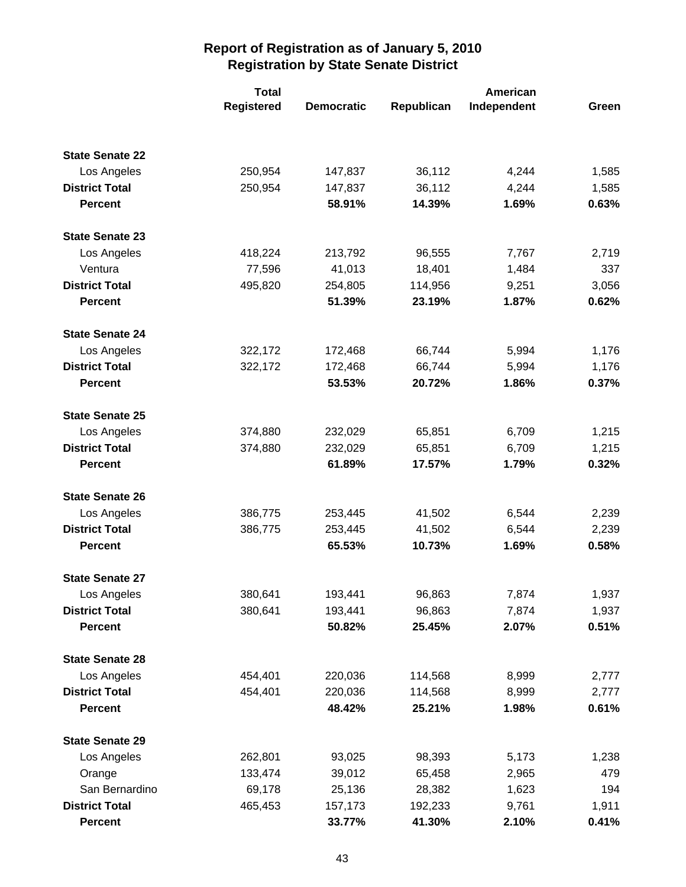|                        | <b>Total</b>      |                   |            |             |       |
|------------------------|-------------------|-------------------|------------|-------------|-------|
|                        | <b>Registered</b> | <b>Democratic</b> | Republican | Independent | Green |
|                        |                   |                   |            |             |       |
| <b>State Senate 22</b> |                   |                   |            |             |       |
| Los Angeles            | 250,954           | 147,837           | 36,112     | 4,244       | 1,585 |
| <b>District Total</b>  | 250,954           | 147,837           | 36,112     | 4,244       | 1,585 |
| <b>Percent</b>         |                   | 58.91%            | 14.39%     | 1.69%       | 0.63% |
| <b>State Senate 23</b> |                   |                   |            |             |       |
| Los Angeles            | 418,224           | 213,792           | 96,555     | 7,767       | 2,719 |
| Ventura                | 77,596            | 41,013            | 18,401     | 1,484       | 337   |
| <b>District Total</b>  | 495,820           | 254,805           | 114,956    | 9,251       | 3,056 |
| <b>Percent</b>         |                   | 51.39%            | 23.19%     | 1.87%       | 0.62% |
| <b>State Senate 24</b> |                   |                   |            |             |       |
| Los Angeles            | 322,172           | 172,468           | 66,744     | 5,994       | 1,176 |
| <b>District Total</b>  | 322,172           | 172,468           | 66,744     | 5,994       | 1,176 |
| <b>Percent</b>         |                   | 53.53%            | 20.72%     | 1.86%       | 0.37% |
| <b>State Senate 25</b> |                   |                   |            |             |       |
| Los Angeles            | 374,880           | 232,029           | 65,851     | 6,709       | 1,215 |
| <b>District Total</b>  | 374,880           | 232,029           | 65,851     | 6,709       | 1,215 |
| <b>Percent</b>         |                   | 61.89%            | 17.57%     | 1.79%       | 0.32% |
| <b>State Senate 26</b> |                   |                   |            |             |       |
| Los Angeles            | 386,775           | 253,445           | 41,502     | 6,544       | 2,239 |
| <b>District Total</b>  | 386,775           | 253,445           | 41,502     | 6,544       | 2,239 |
| <b>Percent</b>         |                   | 65.53%            | 10.73%     | 1.69%       | 0.58% |
| <b>State Senate 27</b> |                   |                   |            |             |       |
| Los Angeles            | 380,641           | 193,441           | 96,863     | 7,874       | 1,937 |
| <b>District Total</b>  | 380,641           | 193,441           | 96,863     | 7,874       | 1,937 |
| <b>Percent</b>         |                   | 50.82%            | 25.45%     | 2.07%       | 0.51% |
| <b>State Senate 28</b> |                   |                   |            |             |       |
| Los Angeles            | 454,401           | 220,036           | 114,568    | 8,999       | 2,777 |
| <b>District Total</b>  | 454,401           | 220,036           | 114,568    | 8,999       | 2,777 |
| <b>Percent</b>         |                   | 48.42%            | 25.21%     | 1.98%       | 0.61% |
| <b>State Senate 29</b> |                   |                   |            |             |       |
| Los Angeles            | 262,801           | 93,025            | 98,393     | 5,173       | 1,238 |
| Orange                 | 133,474           | 39,012            | 65,458     | 2,965       | 479   |
| San Bernardino         | 69,178            | 25,136            | 28,382     | 1,623       | 194   |
| <b>District Total</b>  | 465,453           | 157,173           | 192,233    | 9,761       | 1,911 |
| <b>Percent</b>         |                   | 33.77%            | 41.30%     | 2.10%       | 0.41% |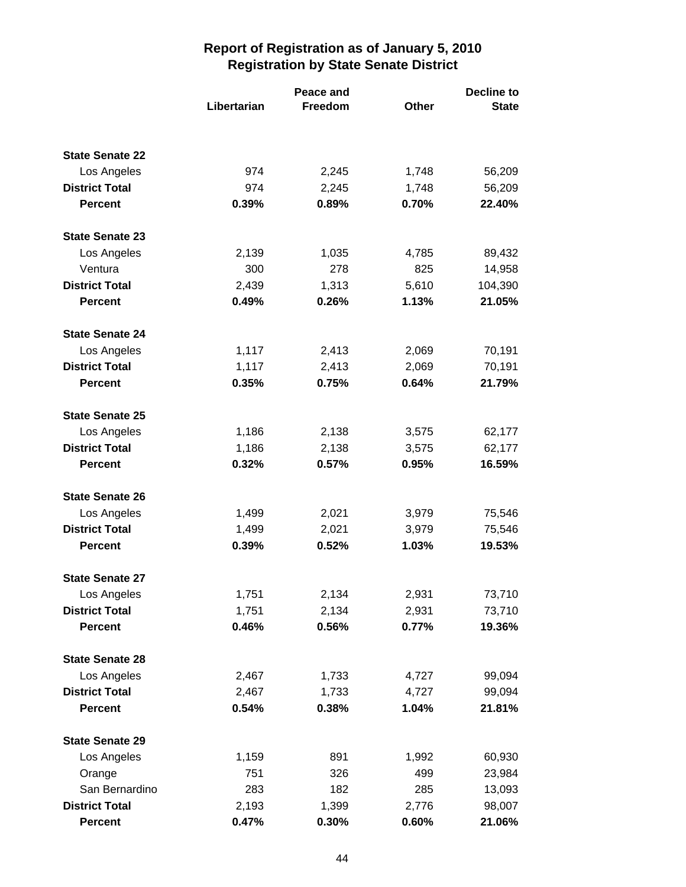|                        |             | Peace and      | <b>Decline to</b> |              |  |
|------------------------|-------------|----------------|-------------------|--------------|--|
|                        | Libertarian | <b>Freedom</b> | <b>Other</b>      | <b>State</b> |  |
|                        |             |                |                   |              |  |
| <b>State Senate 22</b> |             |                |                   |              |  |
| Los Angeles            | 974         | 2,245          | 1,748             | 56,209       |  |
| <b>District Total</b>  | 974         | 2,245          | 1,748             | 56,209       |  |
| <b>Percent</b>         | 0.39%       | 0.89%          | 0.70%             | 22.40%       |  |
| <b>State Senate 23</b> |             |                |                   |              |  |
| Los Angeles            | 2,139       | 1,035          | 4,785             | 89,432       |  |
| Ventura                | 300         | 278            | 825               | 14,958       |  |
| <b>District Total</b>  | 2,439       | 1,313          | 5,610             | 104,390      |  |
| <b>Percent</b>         | 0.49%       | 0.26%          | 1.13%             | 21.05%       |  |
| <b>State Senate 24</b> |             |                |                   |              |  |
| Los Angeles            | 1,117       | 2,413          | 2,069             | 70,191       |  |
| <b>District Total</b>  | 1,117       | 2,413          | 2,069             | 70,191       |  |
| <b>Percent</b>         | 0.35%       | 0.75%          | 0.64%             | 21.79%       |  |
| <b>State Senate 25</b> |             |                |                   |              |  |
| Los Angeles            | 1,186       | 2,138          | 3,575             | 62,177       |  |
| <b>District Total</b>  | 1,186       | 2,138          | 3,575             | 62,177       |  |
| <b>Percent</b>         | 0.32%       | 0.57%          | 0.95%             | 16.59%       |  |
| <b>State Senate 26</b> |             |                |                   |              |  |
| Los Angeles            | 1,499       | 2,021          | 3,979             | 75,546       |  |
| <b>District Total</b>  | 1,499       | 2,021          | 3,979             | 75,546       |  |
| <b>Percent</b>         | 0.39%       | 0.52%          | 1.03%             | 19.53%       |  |
| <b>State Senate 27</b> |             |                |                   |              |  |
| Los Angeles            | 1,751       | 2,134          | 2,931             | 73,710       |  |
| <b>District Total</b>  | 1,751       | 2,134          | 2,931             | 73,710       |  |
| <b>Percent</b>         | 0.46%       | 0.56%          | 0.77%             | 19.36%       |  |
| <b>State Senate 28</b> |             |                |                   |              |  |
| Los Angeles            | 2,467       | 1,733          | 4,727             | 99,094       |  |
| <b>District Total</b>  | 2,467       | 1,733          | 4,727             | 99,094       |  |
| <b>Percent</b>         | 0.54%       | 0.38%          | 1.04%             | 21.81%       |  |
| <b>State Senate 29</b> |             |                |                   |              |  |
| Los Angeles            | 1,159       | 891            | 1,992             | 60,930       |  |
| Orange                 | 751         | 326            | 499               | 23,984       |  |
| San Bernardino         | 283         | 182            | 285               | 13,093       |  |
| <b>District Total</b>  | 2,193       | 1,399          | 2,776             | 98,007       |  |
| <b>Percent</b>         | 0.47%       | 0.30%          | 0.60%             | 21.06%       |  |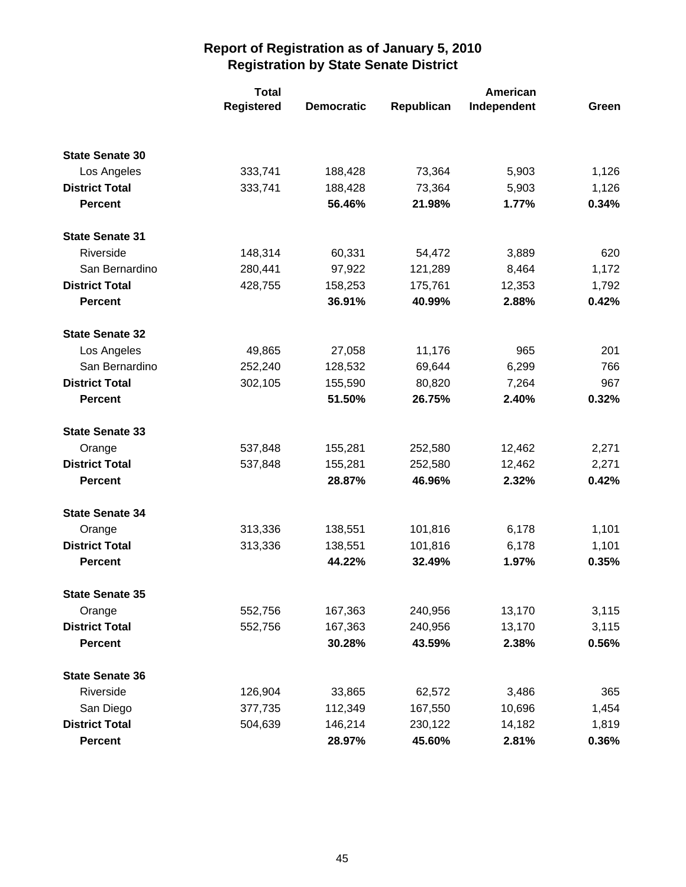|                        | <b>Total</b>      |                   |            | American    |       |  |
|------------------------|-------------------|-------------------|------------|-------------|-------|--|
|                        | <b>Registered</b> | <b>Democratic</b> | Republican | Independent | Green |  |
|                        |                   |                   |            |             |       |  |
| <b>State Senate 30</b> |                   |                   |            |             |       |  |
| Los Angeles            | 333,741           | 188,428           | 73,364     | 5,903       | 1,126 |  |
| <b>District Total</b>  | 333,741           | 188,428           | 73,364     | 5,903       | 1,126 |  |
| <b>Percent</b>         |                   | 56.46%            | 21.98%     | 1.77%       | 0.34% |  |
| <b>State Senate 31</b> |                   |                   |            |             |       |  |
| Riverside              | 148,314           | 60,331            | 54,472     | 3,889       | 620   |  |
| San Bernardino         | 280,441           | 97,922            | 121,289    | 8,464       | 1,172 |  |
| <b>District Total</b>  | 428,755           | 158,253           | 175,761    | 12,353      | 1,792 |  |
| <b>Percent</b>         |                   | 36.91%            | 40.99%     | 2.88%       | 0.42% |  |
| <b>State Senate 32</b> |                   |                   |            |             |       |  |
| Los Angeles            | 49,865            | 27,058            | 11,176     | 965         | 201   |  |
| San Bernardino         | 252,240           | 128,532           | 69,644     | 6,299       | 766   |  |
| <b>District Total</b>  | 302,105           | 155,590           | 80,820     | 7,264       | 967   |  |
| <b>Percent</b>         |                   | 51.50%            | 26.75%     | 2.40%       | 0.32% |  |
| <b>State Senate 33</b> |                   |                   |            |             |       |  |
| Orange                 | 537,848           | 155,281           | 252,580    | 12,462      | 2,271 |  |
| <b>District Total</b>  | 537,848           | 155,281           | 252,580    | 12,462      | 2,271 |  |
| <b>Percent</b>         |                   | 28.87%            | 46.96%     | 2.32%       | 0.42% |  |
| <b>State Senate 34</b> |                   |                   |            |             |       |  |
| Orange                 | 313,336           | 138,551           | 101,816    | 6,178       | 1,101 |  |
| <b>District Total</b>  | 313,336           | 138,551           | 101,816    | 6,178       | 1,101 |  |
| <b>Percent</b>         |                   | 44.22%            | 32.49%     | 1.97%       | 0.35% |  |
| <b>State Senate 35</b> |                   |                   |            |             |       |  |
| Orange                 | 552,756           | 167,363           | 240,956    | 13,170      | 3,115 |  |
| <b>District Total</b>  | 552,756           | 167,363           | 240,956    | 13,170      | 3,115 |  |
| <b>Percent</b>         |                   | 30.28%            | 43.59%     | 2.38%       | 0.56% |  |
| <b>State Senate 36</b> |                   |                   |            |             |       |  |
| Riverside              | 126,904           | 33,865            | 62,572     | 3,486       | 365   |  |
| San Diego              | 377,735           | 112,349           | 167,550    | 10,696      | 1,454 |  |
| <b>District Total</b>  | 504,639           | 146,214           | 230,122    | 14,182      | 1,819 |  |
| <b>Percent</b>         |                   | 28.97%            | 45.60%     | 2.81%       | 0.36% |  |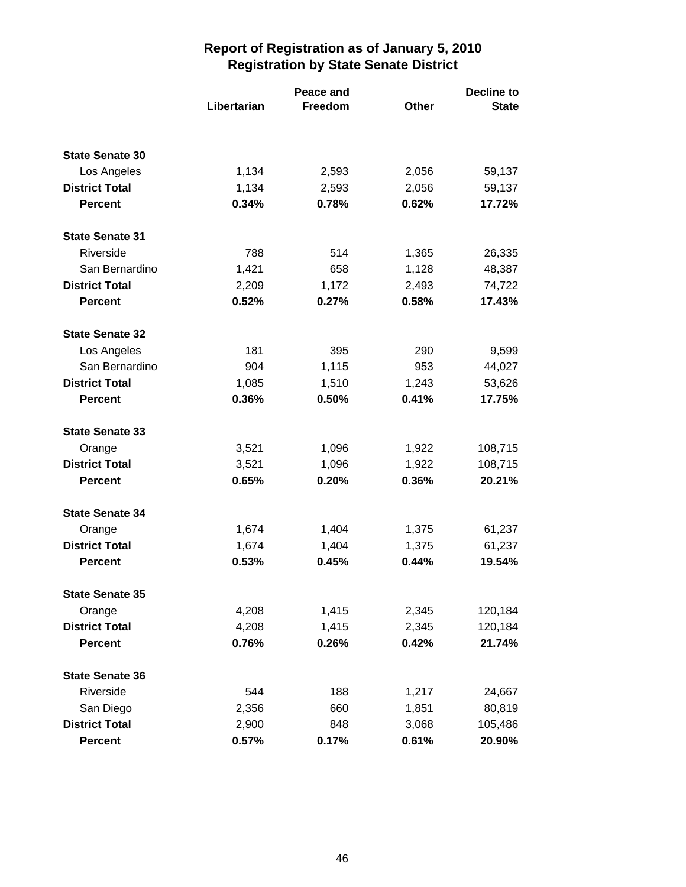|                        |             | Peace and |       | <b>Decline to</b> |  |
|------------------------|-------------|-----------|-------|-------------------|--|
|                        | Libertarian | Freedom   | Other | <b>State</b>      |  |
|                        |             |           |       |                   |  |
| <b>State Senate 30</b> |             |           |       |                   |  |
| Los Angeles            | 1,134       | 2,593     | 2,056 | 59,137            |  |
| <b>District Total</b>  | 1,134       | 2,593     | 2,056 | 59,137            |  |
| <b>Percent</b>         | 0.34%       | 0.78%     | 0.62% | 17.72%            |  |
| <b>State Senate 31</b> |             |           |       |                   |  |
| Riverside              | 788         | 514       | 1,365 | 26,335            |  |
| San Bernardino         | 1,421       | 658       | 1,128 | 48,387            |  |
| <b>District Total</b>  | 2,209       | 1,172     | 2,493 | 74,722            |  |
| <b>Percent</b>         | 0.52%       | 0.27%     | 0.58% | 17.43%            |  |
| <b>State Senate 32</b> |             |           |       |                   |  |
| Los Angeles            | 181         | 395       | 290   | 9,599             |  |
| San Bernardino         | 904         | 1,115     | 953   | 44,027            |  |
| <b>District Total</b>  | 1,085       | 1,510     | 1,243 | 53,626            |  |
| <b>Percent</b>         | 0.36%       | 0.50%     | 0.41% | 17.75%            |  |
| <b>State Senate 33</b> |             |           |       |                   |  |
| Orange                 | 3,521       | 1,096     | 1,922 | 108,715           |  |
| <b>District Total</b>  | 3,521       | 1,096     | 1,922 | 108,715           |  |
| <b>Percent</b>         | 0.65%       | 0.20%     | 0.36% | 20.21%            |  |
| <b>State Senate 34</b> |             |           |       |                   |  |
| Orange                 | 1,674       | 1,404     | 1,375 | 61,237            |  |
| <b>District Total</b>  | 1,674       | 1,404     | 1,375 | 61,237            |  |
| <b>Percent</b>         | 0.53%       | 0.45%     | 0.44% | 19.54%            |  |
| <b>State Senate 35</b> |             |           |       |                   |  |
| Orange                 | 4,208       | 1,415     | 2,345 | 120,184           |  |
| <b>District Total</b>  | 4,208       | 1,415     | 2,345 | 120,184           |  |
| <b>Percent</b>         | 0.76%       | 0.26%     | 0.42% | 21.74%            |  |
| <b>State Senate 36</b> |             |           |       |                   |  |
| Riverside              | 544         | 188       | 1,217 | 24,667            |  |
| San Diego              | 2,356       | 660       | 1,851 | 80,819            |  |
| <b>District Total</b>  | 2,900       | 848       | 3,068 | 105,486           |  |
| <b>Percent</b>         | 0.57%       | 0.17%     | 0.61% | 20.90%            |  |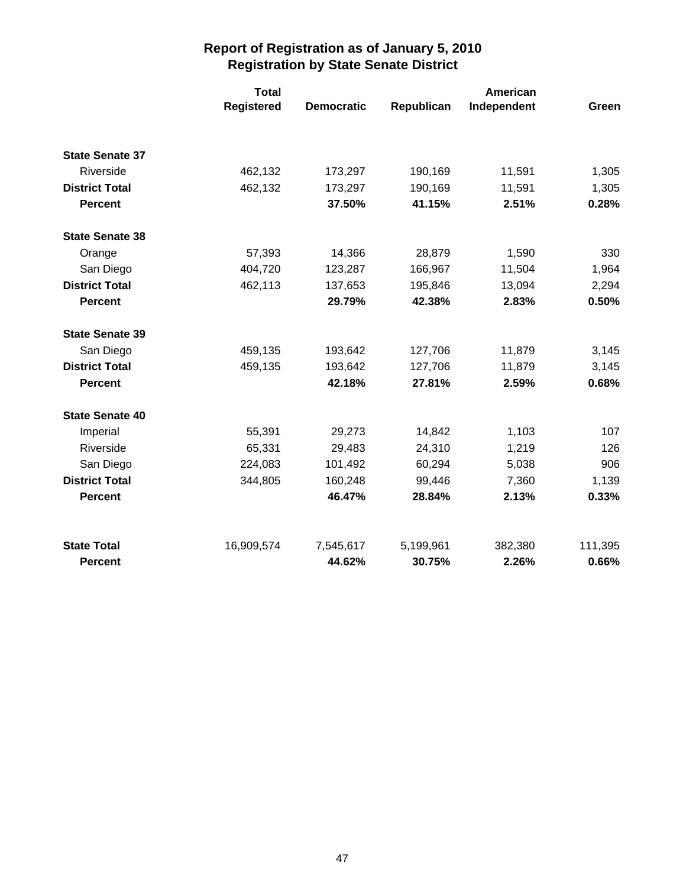|                        | <b>Total</b>      |                   | American   |             |         |
|------------------------|-------------------|-------------------|------------|-------------|---------|
|                        | <b>Registered</b> | <b>Democratic</b> | Republican | Independent | Green   |
| <b>State Senate 37</b> |                   |                   |            |             |         |
| Riverside              | 462,132           | 173,297           | 190,169    | 11,591      | 1,305   |
| <b>District Total</b>  | 462,132           | 173,297           | 190,169    | 11,591      | 1,305   |
| <b>Percent</b>         |                   | 37.50%            | 41.15%     | 2.51%       | 0.28%   |
| <b>State Senate 38</b> |                   |                   |            |             |         |
| Orange                 | 57,393            | 14,366            | 28,879     | 1,590       | 330     |
| San Diego              | 404,720           | 123,287           | 166,967    | 11,504      | 1,964   |
| <b>District Total</b>  | 462,113           | 137,653           | 195,846    | 13,094      | 2,294   |
| <b>Percent</b>         |                   | 29.79%            | 42.38%     | 2.83%       | 0.50%   |
| <b>State Senate 39</b> |                   |                   |            |             |         |
| San Diego              | 459,135           | 193,642           | 127,706    | 11,879      | 3,145   |
| <b>District Total</b>  | 459,135           | 193,642           | 127,706    | 11,879      | 3,145   |
| <b>Percent</b>         |                   | 42.18%            | 27.81%     | 2.59%       | 0.68%   |
| <b>State Senate 40</b> |                   |                   |            |             |         |
| Imperial               | 55,391            | 29,273            | 14,842     | 1,103       | 107     |
| Riverside              | 65,331            | 29,483            | 24,310     | 1,219       | 126     |
| San Diego              | 224,083           | 101,492           | 60,294     | 5,038       | 906     |
| <b>District Total</b>  | 344,805           | 160,248           | 99,446     | 7,360       | 1,139   |
| <b>Percent</b>         |                   | 46.47%            | 28.84%     | 2.13%       | 0.33%   |
| <b>State Total</b>     | 16,909,574        | 7,545,617         | 5,199,961  | 382,380     | 111,395 |
| <b>Percent</b>         |                   | 44.62%            | 30.75%     | 2.26%       | 0.66%   |
|                        |                   |                   |            |             |         |